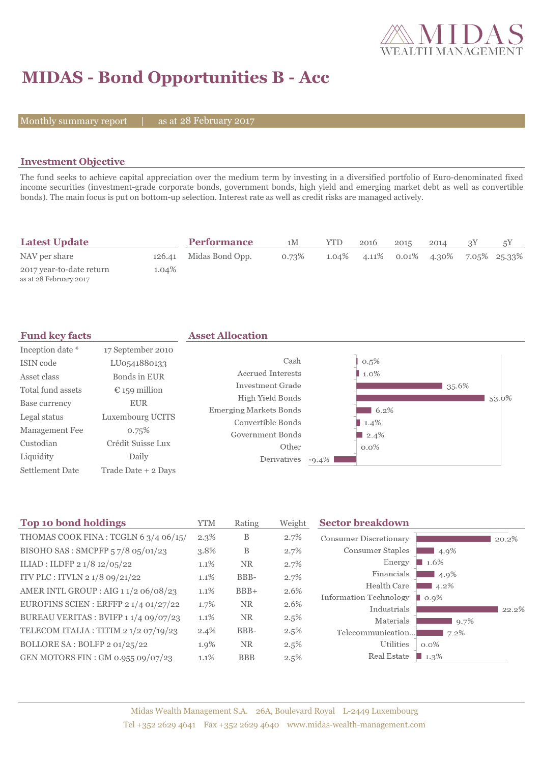

# **MIDAS - Bond Opportunities B - Acc**

Monthly summary report | as at 28 February 2017

#### **Investment Objective**

The fund seeks to achieve capital appreciation over the medium term by investing in a diversified portfolio of Euro-denominated fixed income securities (investment-grade corporate bonds, government bonds, high yield and emerging market debt as well as convertible bonds). The main focus is put on bottom-up selection. Interest rate as well as credit risks are managed actively.

| <b>Latest Update</b>                               |          | <b>Performance</b>     | 1M    | YTD      | 2016 | 2015 | 2014                 |              |
|----------------------------------------------------|----------|------------------------|-------|----------|------|------|----------------------|--------------|
| NAV per share                                      |          | 126.41 Midas Bond Opp. | 0.73% | $1.04\%$ |      |      | 4.11\% 0.01\% 4.30\% | 7.05% 25.33% |
| 2017 year-to-date return<br>as at 28 February 2017 | $1.04\%$ |                        |       |          |      |      |                      |              |

| <b>Fund key facts</b>  |                     | <b>Asset Allocation</b>       |          |          |       |       |
|------------------------|---------------------|-------------------------------|----------|----------|-------|-------|
| Inception date *       | 17 September 2010   |                               |          |          |       |       |
| ISIN code              | LU0541880133        | Cash                          |          | 0.5%     |       |       |
| Asset class            | Bonds in EUR        | Accrued Interests             |          | 1.0%     |       |       |
| Total fund assets      | € 159 million       | Investment Grade              |          |          | 35.6% |       |
| Base currency          | <b>EUR</b>          | High Yield Bonds              |          |          |       | 53.0% |
| Legal status           | Luxembourg UCITS    | <b>Emerging Markets Bonds</b> |          | 6.2%     |       |       |
|                        |                     | Convertible Bonds             |          | $1.4\%$  |       |       |
| Management Fee         | 0.75%               | Government Bonds              |          | $12.4\%$ |       |       |
| Custodian              | Crédit Suisse Lux   | Other                         |          | $0.0\%$  |       |       |
| Liquidity              | Daily               | Derivatives                   | $-9.4\%$ |          |       |       |
| <b>Settlement Date</b> | Trade Date + 2 Davs |                               |          |          |       |       |

| <b>Top 10 bond holdings</b>           | <b>YTM</b> | Rating     | Weight  | <b>Sector breakdown</b>       |                     |       |
|---------------------------------------|------------|------------|---------|-------------------------------|---------------------|-------|
| THOMAS COOK FINA: TCGLN 6 3/4 06/15/  | $2.3\%$    | B          | 2.7%    | <b>Consumer Discretionary</b> |                     | 20.2% |
| BISOHO SAS: SMCPFP 57/8 05/01/23      | 3.8%       | B          | 2.7%    | Consumer Staples              | 4.9%                |       |
| ILIAD : ILDFP 2 1/8 12/05/22          | 1.1%       | NR.        | 2.7%    | Energy                        | 1.6%                |       |
| ITV PLC : ITVLN 2 1/8 09/21/22        | 1.1%       | BBB-       | 2.7%    | Financials                    | $14.9\%$            |       |
| AMER INTL GROUP : AIG 11/2 06/08/23   | 1.1%       | $BBB+$     | 2.6%    | Health Care                   | $4.2\%$             |       |
| EUROFINS SCIEN : ERFFP 2 1/4 01/27/22 | 1.7%       | <b>NR</b>  | 2.6%    | Information Technology        | 0.9%                |       |
| BUREAU VERITAS : BVIFP 1 1/4 09/07/23 | 1.1%       | <b>NR</b>  | $2.5\%$ | Industrials<br>Materials      | 9.7%                | 22.2% |
| TELECOM ITALIA : TITIM 2 1/2 07/19/23 | 2.4%       | BBB-       | $2.5\%$ | Telecommunication             | 7.2%                |       |
| BOLLORE SA: BOLFP 2 01/25/22          | 1.9%       | <b>NR</b>  | $2.5\%$ | Utilities                     | $0.0\%$             |       |
| GEN MOTORS FIN: GM 0.955 09/07/23     | 1.1%       | <b>BBB</b> | 2.5%    | Real Estate                   | $\blacksquare$ 1.3% |       |